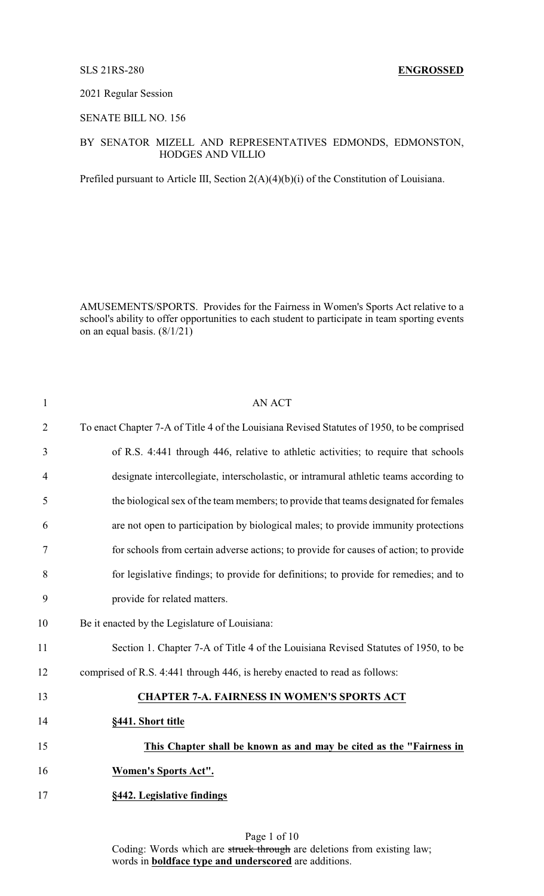#### 2021 Regular Session

## SENATE BILL NO. 156

### BY SENATOR MIZELL AND REPRESENTATIVES EDMONDS, EDMONSTON, HODGES AND VILLIO

Prefiled pursuant to Article III, Section 2(A)(4)(b)(i) of the Constitution of Louisiana.

AMUSEMENTS/SPORTS. Provides for the Fairness in Women's Sports Act relative to a school's ability to offer opportunities to each student to participate in team sporting events on an equal basis. (8/1/21)

| $\mathbf{1}$   | <b>AN ACT</b>                                                                              |
|----------------|--------------------------------------------------------------------------------------------|
| $\overline{2}$ | To enact Chapter 7-A of Title 4 of the Louisiana Revised Statutes of 1950, to be comprised |
| 3              | of R.S. 4:441 through 446, relative to athletic activities; to require that schools        |
| $\overline{4}$ | designate intercollegiate, interscholastic, or intramural athletic teams according to      |
| 5              | the biological sex of the team members; to provide that teams designated for females       |
| 6              | are not open to participation by biological males; to provide immunity protections         |
| $\tau$         | for schools from certain adverse actions; to provide for causes of action; to provide      |
| 8              | for legislative findings; to provide for definitions; to provide for remedies; and to      |
| 9              | provide for related matters.                                                               |
| 10             | Be it enacted by the Legislature of Louisiana:                                             |
| 11             | Section 1. Chapter 7-A of Title 4 of the Louisiana Revised Statutes of 1950, to be         |
| 12             | comprised of R.S. 4:441 through 446, is hereby enacted to read as follows:                 |
| 13             | <b>CHAPTER 7-A. FAIRNESS IN WOMEN'S SPORTS ACT</b>                                         |
| 14             | §441. Short title                                                                          |
| 15             | This Chapter shall be known as and may be cited as the "Fairness in                        |
| 16             | <b>Women's Sports Act".</b>                                                                |
| 17             | §442. Legislative findings                                                                 |
|                |                                                                                            |

Page 1 of 10 Coding: Words which are struck through are deletions from existing law; words in **boldface type and underscored** are additions.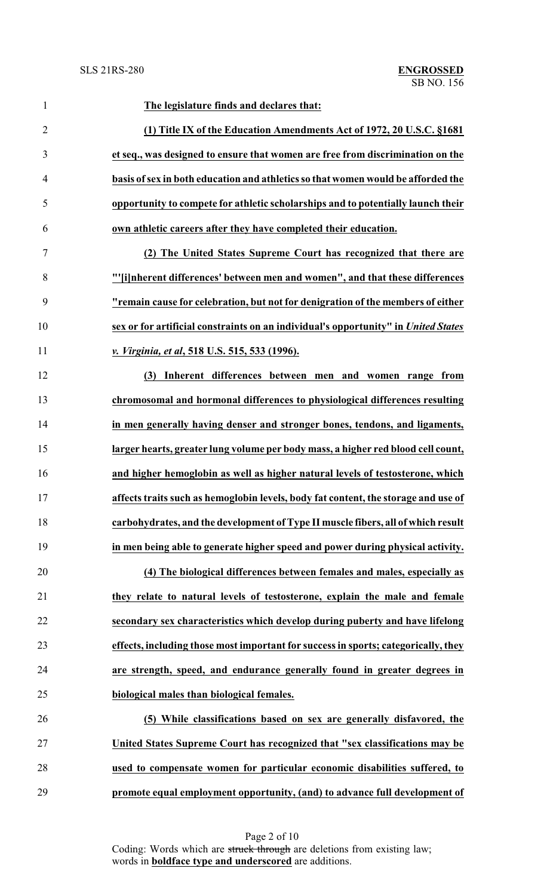| $\mathbf{1}$   | The legislature finds and declares that:                                           |
|----------------|------------------------------------------------------------------------------------|
| $\overline{2}$ | (1) Title IX of the Education Amendments Act of 1972, 20 U.S.C. §1681              |
| 3              | et seq., was designed to ensure that women are free from discrimination on the     |
| $\overline{4}$ | basis of sex in both education and athletics so that women would be afforded the   |
| 5              | opportunity to compete for athletic scholarships and to potentially launch their   |
| 6              | own athletic careers after they have completed their education.                    |
| $\tau$         | (2) The United States Supreme Court has recognized that there are                  |
| 8              | "'[i]nherent differences' between men and women", and that these differences       |
| 9              | "remain cause for celebration, but not for denigration of the members of either    |
| 10             | sex or for artificial constraints on an individual's opportunity" in United States |
| 11             | v. Virginia, et al, 518 U.S. 515, 533 (1996).                                      |
| 12             | Inherent differences between men and women range from<br>(3)                       |
| 13             | chromosomal and hormonal differences to physiological differences resulting        |
| 14             | in men generally having denser and stronger bones, tendons, and ligaments,         |
| 15             | larger hearts, greater lung volume per body mass, a higher red blood cell count,   |
| 16             | and higher hemoglobin as well as higher natural levels of testosterone, which      |
| 17             | affects traits such as hemoglobin levels, body fat content, the storage and use of |
| 18             | carbohydrates, and the development of Type II muscle fibers, all of which result   |
| 19             | in men being able to generate higher speed and power during physical activity.     |
| 20             | (4) The biological differences between females and males, especially as            |
| 21             | they relate to natural levels of testosterone, explain the male and female         |
| 22             | secondary sex characteristics which develop during puberty and have lifelong       |
| 23             | effects, including those most important for success in sports; categorically, they |
| 24             | are strength, speed, and endurance generally found in greater degrees in           |
| 25             | biological males than biological females.                                          |
| 26             | (5) While classifications based on sex are generally disfavored, the               |
| $27\,$         | United States Supreme Court has recognized that "sex classifications may be        |
| 28             | used to compensate women for particular economic disabilities suffered, to         |
| 29             | promote equal employment opportunity, (and) to advance full development of         |

Page 2 of 10 Coding: Words which are struck through are deletions from existing law; words in **boldface type and underscored** are additions.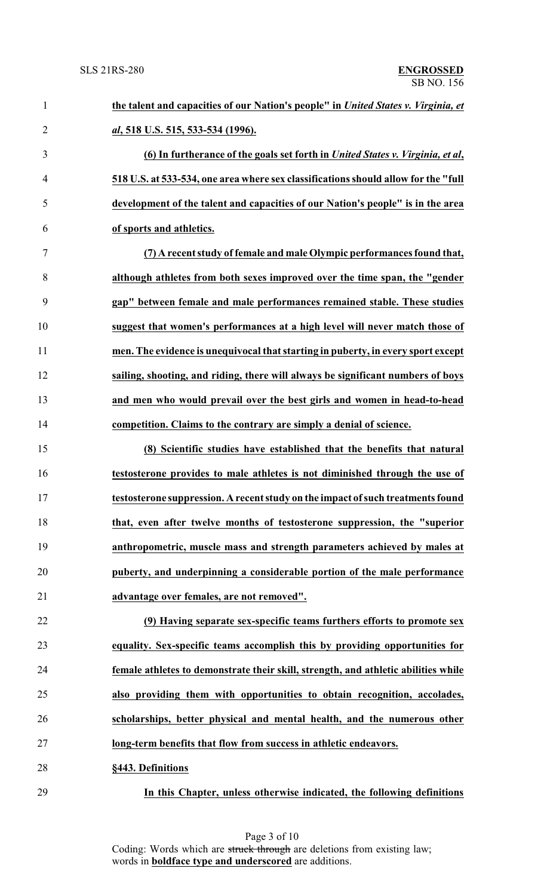| $\mathbf{1}$   | the talent and capacities of our Nation's people" in United States v. Virginia, et |
|----------------|------------------------------------------------------------------------------------|
| $\overline{2}$ | al, 518 U.S. 515, 533-534 (1996).                                                  |
| 3              | (6) In furtherance of the goals set forth in United States v. Virginia, et al.     |
| 4              | 518 U.S. at 533-534, one area where sex classifications should allow for the "full |
| 5              | development of the talent and capacities of our Nation's people" is in the area    |
| 6              | of sports and athletics.                                                           |
| 7              | (7) A recent study of female and male Olympic performances found that,             |
| 8              | although athletes from both sexes improved over the time span, the "gender         |
| 9              | gap" between female and male performances remained stable. These studies           |
| 10             | suggest that women's performances at a high level will never match those of        |
| 11             | men. The evidence is unequivocal that starting in puberty, in every sport except   |
| 12             | sailing, shooting, and riding, there will always be significant numbers of boys    |
| 13             | and men who would prevail over the best girls and women in head-to-head            |
| 14             | competition. Claims to the contrary are simply a denial of science.                |
| 15             | (8) Scientific studies have established that the benefits that natural             |
| 16             | testosterone provides to male athletes is not diminished through the use of        |
| 17             | testosterone suppression. A recent study on the impact of such treatments found    |
| 18             | that, even after twelve months of testosterone suppression, the "superior          |
| 19             | anthropometric, muscle mass and strength parameters achieved by males at           |
| 20             | puberty, and underpinning a considerable portion of the male performance           |
| 21             | advantage over females, are not removed".                                          |
| 22             | (9) Having separate sex-specific teams furthers efforts to promote sex             |
| 23             | equality. Sex-specific teams accomplish this by providing opportunities for        |
| 24             | female athletes to demonstrate their skill, strength, and athletic abilities while |
| 25             | also providing them with opportunities to obtain recognition, accolades,           |
| 26             | scholarships, better physical and mental health, and the numerous other            |
| 27             | long-term benefits that flow from success in athletic endeavors.                   |
| 28             | §443. Definitions                                                                  |
| 29             | In this Chapter, unless otherwise indicated, the following definitions             |

Page 3 of 10 Coding: Words which are struck through are deletions from existing law; words in **boldface type and underscored** are additions.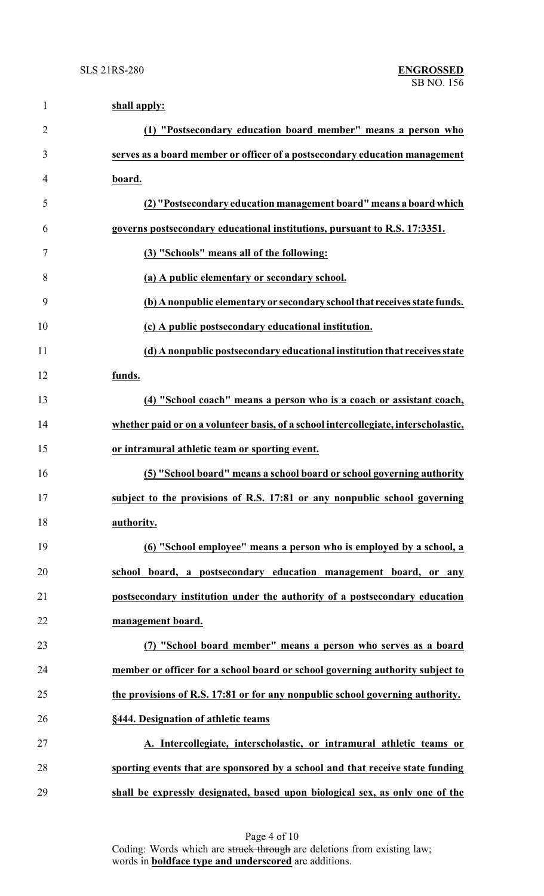| $\mathbf{1}$   | shall apply:                                                                        |
|----------------|-------------------------------------------------------------------------------------|
| $\overline{2}$ | (1) "Postsecondary education board member" means a person who                       |
| 3              | serves as a board member or officer of a postsecondary education management         |
| 4              | board.                                                                              |
| 5              | (2) "Postsecondary education management board" means a board which                  |
| 6              | governs postsecondary educational institutions, pursuant to R.S. 17:3351.           |
| 7              | (3) "Schools" means all of the following:                                           |
| 8              | (a) A public elementary or secondary school.                                        |
| 9              | (b) A nonpublic elementary or secondary school that receives state funds.           |
| 10             | (c) A public postsecondary educational institution.                                 |
| 11             | (d) A nonpublic postsecondary educational institution that receives state           |
| 12             | funds.                                                                              |
| 13             | (4) "School coach" means a person who is a coach or assistant coach,                |
| 14             | whether paid or on a volunteer basis, of a school intercollegiate, interscholastic, |
| 15             | or intramural athletic team or sporting event.                                      |
| 16             | (5) "School board" means a school board or school governing authority               |
| 17             | subject to the provisions of R.S. 17:81 or any nonpublic school governing           |
| 18             | authority.                                                                          |
| 19             | (6) "School employee" means a person who is employed by a school, a                 |
| 20             | school board, a postsecondary education management board, or any                    |
| 21             | postsecondary institution under the authority of a postsecondary education          |
| 22             | management board.                                                                   |
| 23             | (7) "School board member" means a person who serves as a board                      |
| 24             | member or officer for a school board or school governing authority subject to       |
| 25             | the provisions of R.S. 17:81 or for any nonpublic school governing authority.       |
| 26             | §444. Designation of athletic teams                                                 |
| 27             | A. Intercollegiate, interscholastic, or intramural athletic teams or                |
| 28             | sporting events that are sponsored by a school and that receive state funding       |
| 29             | shall be expressly designated, based upon biological sex, as only one of the        |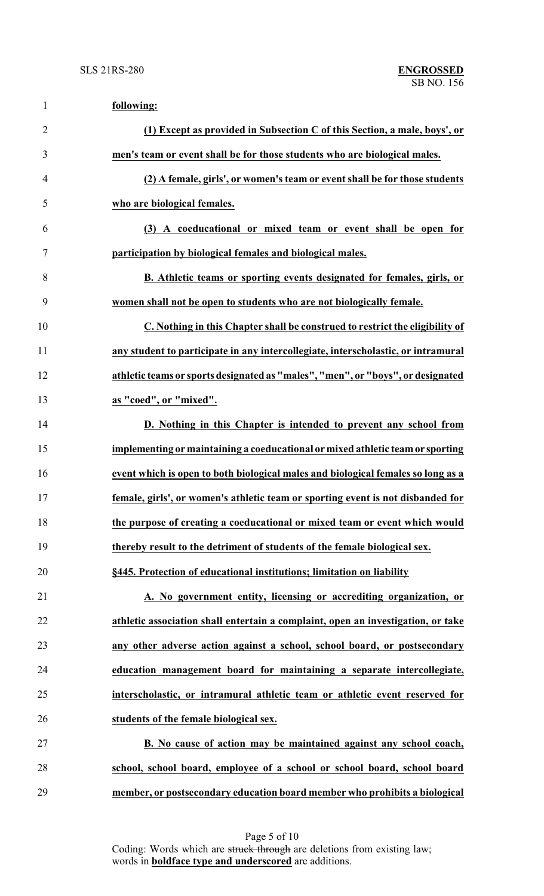| $\mathbf{1}$   | following:                                                                        |
|----------------|-----------------------------------------------------------------------------------|
| $\overline{2}$ | (1) Except as provided in Subsection C of this Section, a male, boys', or         |
| 3              | men's team or event shall be for those students who are biological males.         |
| 4              | (2) A female, girls', or women's team or event shall be for those students        |
| 5              | who are biological females.                                                       |
| 6              | (3) A coeducational or mixed team or event shall be open for                      |
| $\tau$         | participation by biological females and biological males.                         |
| 8              | <b>B.</b> Athletic teams or sporting events designated for females, girls, or     |
| 9              | women shall not be open to students who are not biologically female.              |
| 10             | C. Nothing in this Chapter shall be construed to restrict the eligibility of      |
| 11             | any student to participate in any intercollegiate, interscholastic, or intramural |
| 12             | athletic teams or sports designated as "males", "men", or "boys", or designated   |
| 13             | as "coed", or "mixed".                                                            |
| 14             | D. Nothing in this Chapter is intended to prevent any school from                 |
| 15             | implementing or maintaining a coeducational or mixed athletic team or sporting    |
| 16             | event which is open to both biological males and biological females so long as a  |
| 17             | female, girls', or women's athletic team or sporting event is not disbanded for   |
| 18             | the purpose of creating a coeducational or mixed team or event which would        |
| 19             | thereby result to the detriment of students of the female biological sex.         |
| 20             | §445. Protection of educational institutions; limitation on liability             |
| 21             | A. No government entity, licensing or accrediting organization, or                |
| 22             | athletic association shall entertain a complaint, open an investigation, or take  |
| 23             | any other adverse action against a school, school board, or postsecondary         |
| 24             | education management board for maintaining a separate intercollegiate,            |
| 25             | interscholastic, or intramural athletic team or athletic event reserved for       |
| 26             | students of the female biological sex.                                            |
| 27             | B. No cause of action may be maintained against any school coach,                 |
| 28             | school, school board, employee of a school or school board, school board          |
| 29             | member, or postsecondary education board member who prohibits a biological        |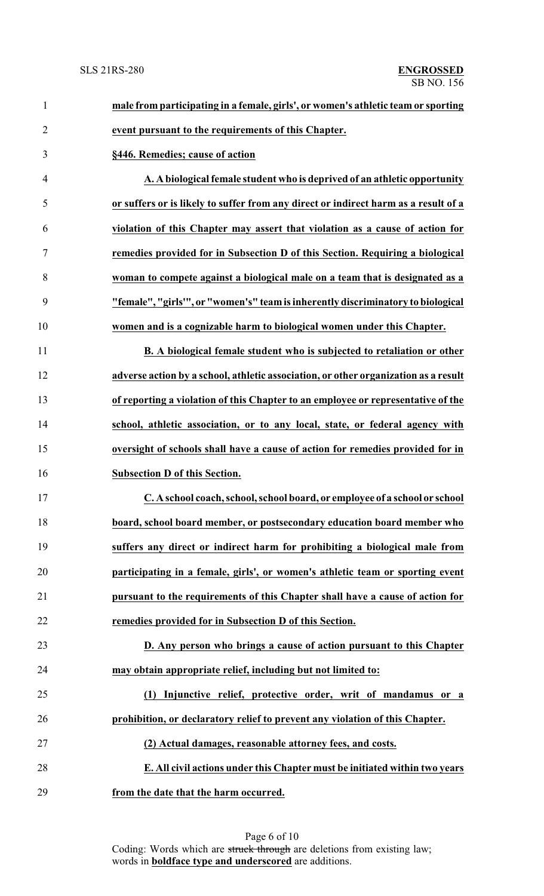| $\mathbf{1}$   | male from participating in a female, girls', or women's athletic team or sporting   |
|----------------|-------------------------------------------------------------------------------------|
| $\overline{2}$ | event pursuant to the requirements of this Chapter.                                 |
| 3              | §446. Remedies; cause of action                                                     |
| $\overline{4}$ | A. A biological female student who is deprived of an athletic opportunity           |
| 5              | or suffers or is likely to suffer from any direct or indirect harm as a result of a |
| 6              | violation of this Chapter may assert that violation as a cause of action for        |
| 7              | remedies provided for in Subsection D of this Section. Requiring a biological       |
| 8              | woman to compete against a biological male on a team that is designated as a        |
| 9              | "female", "girls"", or "women's" team is inherently discriminatory to biological    |
| 10             | women and is a cognizable harm to biological women under this Chapter.              |
| 11             | B. A biological female student who is subjected to retaliation or other             |
| 12             | adverse action by a school, athletic association, or other organization as a result |
| 13             | of reporting a violation of this Chapter to an employee or representative of the    |
| 14             | school, athletic association, or to any local, state, or federal agency with        |
| 15             | oversight of schools shall have a cause of action for remedies provided for in      |
| 16             | <b>Subsection D of this Section.</b>                                                |
| 17             | C. A school coach, school, school board, or employee of a school or school          |
| 18             | board, school board member, or postsecondary education board member who             |
| 19             | suffers any direct or indirect harm for prohibiting a biological male from          |
| 20             | participating in a female, girls', or women's athletic team or sporting event       |
| 21             | pursuant to the requirements of this Chapter shall have a cause of action for       |
| 22             | remedies provided for in Subsection D of this Section.                              |
| 23             | D. Any person who brings a cause of action pursuant to this Chapter                 |
| 24             | may obtain appropriate relief, including but not limited to:                        |
| 25             | Injunctive relief, protective order, writ of mandamus or a<br>(1)                   |
| 26             | prohibition, or declaratory relief to prevent any violation of this Chapter.        |
| 27             | (2) Actual damages, reasonable attorney fees, and costs.                            |
| 28             | E. All civil actions under this Chapter must be initiated within two years          |
| 29             | from the date that the harm occurred.                                               |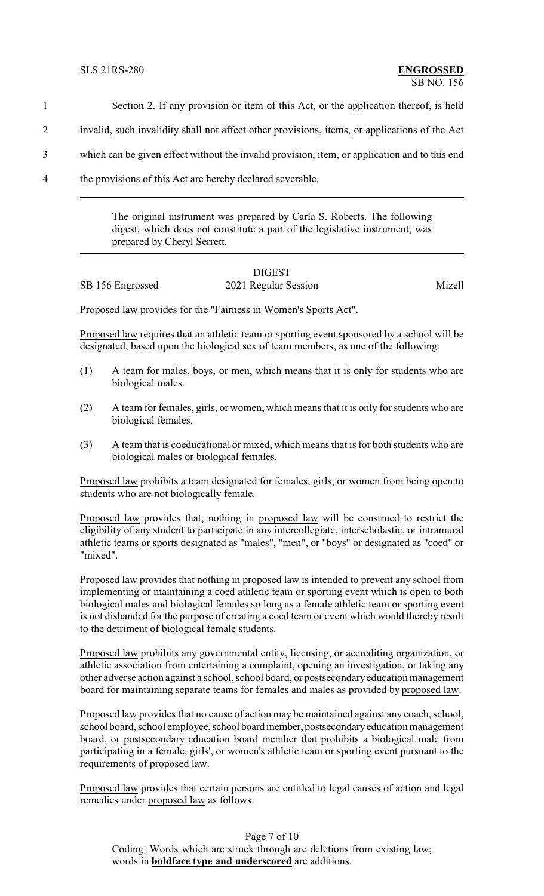- 1 Section 2. If any provision or item of this Act, or the application thereof, is held 2 invalid, such invalidity shall not affect other provisions, items, or applications of the Act
- 
- 3 which can be given effect without the invalid provision, item, or application and to this end
- 4 the provisions of this Act are hereby declared severable.

The original instrument was prepared by Carla S. Roberts. The following digest, which does not constitute a part of the legislative instrument, was prepared by Cheryl Serrett.

# DIGEST SB 156 Engrossed 2021 Regular Session Mizell

Proposed law provides for the "Fairness in Women's Sports Act".

Proposed law requires that an athletic team or sporting event sponsored by a school will be designated, based upon the biological sex of team members, as one of the following:

- (1) A team for males, boys, or men, which means that it is only for students who are biological males.
- (2) A team for females, girls, or women, which means that it is only for students who are biological females.
- (3) A team that is coeducational or mixed, which means that is for both students who are biological males or biological females.

Proposed law prohibits a team designated for females, girls, or women from being open to students who are not biologically female.

Proposed law provides that, nothing in proposed law will be construed to restrict the eligibility of any student to participate in any intercollegiate, interscholastic, or intramural athletic teams or sports designated as "males", "men", or "boys" or designated as "coed" or "mixed".

Proposed law provides that nothing in proposed law is intended to prevent any school from implementing or maintaining a coed athletic team or sporting event which is open to both biological males and biological females so long as a female athletic team or sporting event is not disbanded for the purpose of creating a coed team or event which would thereby result to the detriment of biological female students.

Proposed law prohibits any governmental entity, licensing, or accrediting organization, or athletic association from entertaining a complaint, opening an investigation, or taking any other adverse action against a school, school board, or postsecondaryeducation management board for maintaining separate teams for females and males as provided by proposed law.

Proposed law provides that no cause of action may be maintained against any coach, school, school board, school employee, school board member, postsecondary education management board, or postsecondary education board member that prohibits a biological male from participating in a female, girls', or women's athletic team or sporting event pursuant to the requirements of proposed law.

Proposed law provides that certain persons are entitled to legal causes of action and legal remedies under proposed law as follows:

Page 7 of 10 Coding: Words which are struck through are deletions from existing law; words in **boldface type and underscored** are additions.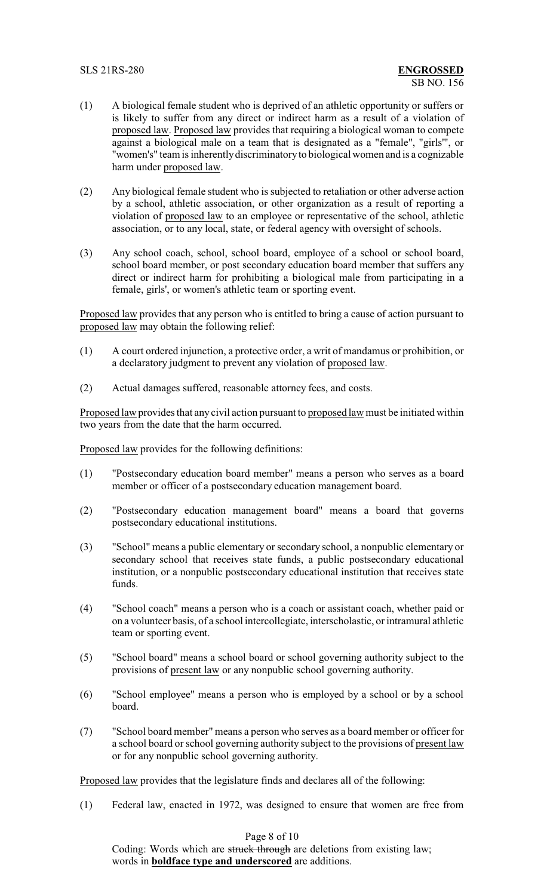- (1) A biological female student who is deprived of an athletic opportunity or suffers or is likely to suffer from any direct or indirect harm as a result of a violation of proposed law. Proposed law provides that requiring a biological woman to compete against a biological male on a team that is designated as a "female", "girls'", or "women's" team is inherentlydiscriminatoryto biological women and is a cognizable harm under proposed law.
- (2) Any biological female student who is subjected to retaliation or other adverse action by a school, athletic association, or other organization as a result of reporting a violation of proposed law to an employee or representative of the school, athletic association, or to any local, state, or federal agency with oversight of schools.
- (3) Any school coach, school, school board, employee of a school or school board, school board member, or post secondary education board member that suffers any direct or indirect harm for prohibiting a biological male from participating in a female, girls', or women's athletic team or sporting event.

Proposed law provides that any person who is entitled to bring a cause of action pursuant to proposed law may obtain the following relief:

- (1) A court ordered injunction, a protective order, a writ of mandamus or prohibition, or a declaratory judgment to prevent any violation of proposed law.
- (2) Actual damages suffered, reasonable attorney fees, and costs.

Proposed law provides that any civil action pursuant to proposed law must be initiated within two years from the date that the harm occurred.

Proposed law provides for the following definitions:

- (1) "Postsecondary education board member" means a person who serves as a board member or officer of a postsecondary education management board.
- (2) "Postsecondary education management board" means a board that governs postsecondary educational institutions.
- (3) "School" means a public elementary or secondary school, a nonpublic elementary or secondary school that receives state funds, a public postsecondary educational institution, or a nonpublic postsecondary educational institution that receives state funds.
- (4) "School coach" means a person who is a coach or assistant coach, whether paid or on a volunteer basis, of a school intercollegiate, interscholastic, or intramural athletic team or sporting event.
- (5) "School board" means a school board or school governing authority subject to the provisions of present law or any nonpublic school governing authority.
- (6) "School employee" means a person who is employed by a school or by a school board.
- (7) "School board member" means a person who serves as a board member or officer for a school board or school governing authority subject to the provisions of present law or for any nonpublic school governing authority.

Proposed law provides that the legislature finds and declares all of the following:

(1) Federal law, enacted in 1972, was designed to ensure that women are free from

Page 8 of 10

Coding: Words which are struck through are deletions from existing law; words in **boldface type and underscored** are additions.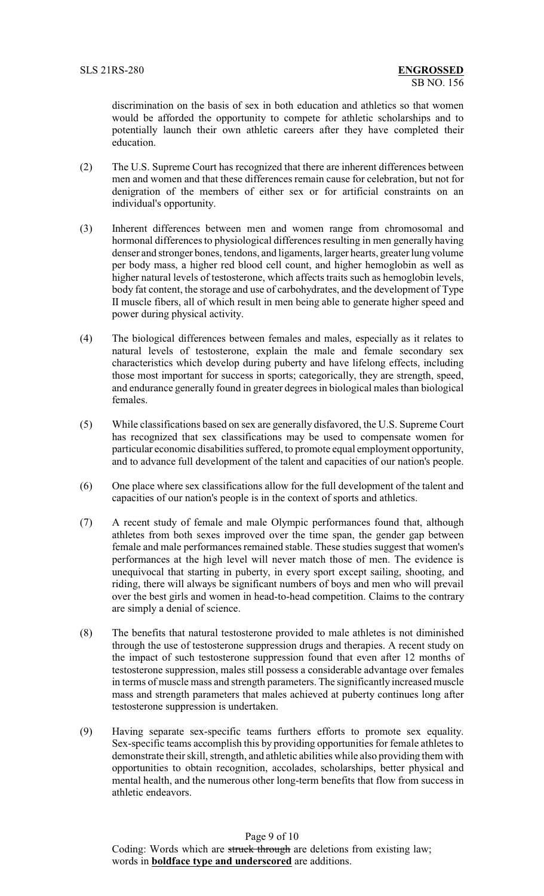discrimination on the basis of sex in both education and athletics so that women would be afforded the opportunity to compete for athletic scholarships and to potentially launch their own athletic careers after they have completed their education.

- (2) The U.S. Supreme Court has recognized that there are inherent differences between men and women and that these differences remain cause for celebration, but not for denigration of the members of either sex or for artificial constraints on an individual's opportunity.
- (3) Inherent differences between men and women range from chromosomal and hormonal differences to physiological differences resulting in men generally having denser and stronger bones, tendons, and ligaments, larger hearts, greater lung volume per body mass, a higher red blood cell count, and higher hemoglobin as well as higher natural levels of testosterone, which affects traits such as hemoglobin levels, body fat content, the storage and use of carbohydrates, and the development of Type II muscle fibers, all of which result in men being able to generate higher speed and power during physical activity.
- (4) The biological differences between females and males, especially as it relates to natural levels of testosterone, explain the male and female secondary sex characteristics which develop during puberty and have lifelong effects, including those most important for success in sports; categorically, they are strength, speed, and endurance generally found in greater degrees in biological males than biological females.
- (5) While classifications based on sex are generally disfavored, the U.S. Supreme Court has recognized that sex classifications may be used to compensate women for particular economic disabilities suffered, to promote equal employment opportunity, and to advance full development of the talent and capacities of our nation's people.
- (6) One place where sex classifications allow for the full development of the talent and capacities of our nation's people is in the context of sports and athletics.
- (7) A recent study of female and male Olympic performances found that, although athletes from both sexes improved over the time span, the gender gap between female and male performances remained stable. These studies suggest that women's performances at the high level will never match those of men. The evidence is unequivocal that starting in puberty, in every sport except sailing, shooting, and riding, there will always be significant numbers of boys and men who will prevail over the best girls and women in head-to-head competition. Claims to the contrary are simply a denial of science.
- (8) The benefits that natural testosterone provided to male athletes is not diminished through the use of testosterone suppression drugs and therapies. A recent study on the impact of such testosterone suppression found that even after 12 months of testosterone suppression, males still possess a considerable advantage over females in terms of muscle mass and strength parameters. The significantly increased muscle mass and strength parameters that males achieved at puberty continues long after testosterone suppression is undertaken.
- (9) Having separate sex-specific teams furthers efforts to promote sex equality. Sex-specific teams accomplish this by providing opportunities for female athletes to demonstrate their skill, strength, and athletic abilities while also providing them with opportunities to obtain recognition, accolades, scholarships, better physical and mental health, and the numerous other long-term benefits that flow from success in athletic endeavors.

Page 9 of 10 Coding: Words which are struck through are deletions from existing law; words in **boldface type and underscored** are additions.